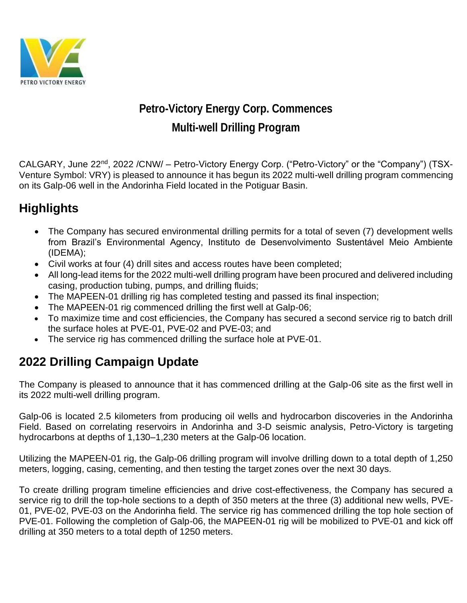

# **Petro-Victory Energy Corp. Commences Multi-well Drilling Program**

CALGARY, June 22<sup>nd</sup>, 2022 /CNW/ – Petro-Victory Energy Corp. ("Petro-Victory" or the "Company") (TSX-Venture Symbol: VRY) is pleased to announce it has begun its 2022 multi-well drilling program commencing on its Galp-06 well in the Andorinha Field located in the Potiguar Basin.

# **Highlights**

- The Company has secured environmental drilling permits for a total of seven (7) development wells from Brazil's Environmental Agency, Instituto de Desenvolvimento Sustentável Meio Ambiente (IDEMA);
- Civil works at four (4) drill sites and access routes have been completed;
- All long-lead items for the 2022 multi-well drilling program have been procured and delivered including casing, production tubing, pumps, and drilling fluids;
- The MAPEEN-01 drilling rig has completed testing and passed its final inspection;
- The MAPEEN-01 rig commenced drilling the first well at Galp-06;
- To maximize time and cost efficiencies, the Company has secured a second service rig to batch drill the surface holes at PVE-01, PVE-02 and PVE-03; and
- The service rig has commenced drilling the surface hole at PVE-01.

# **2022 Drilling Campaign Update**

The Company is pleased to announce that it has commenced drilling at the Galp-06 site as the first well in its 2022 multi-well drilling program.

Galp-06 is located 2.5 kilometers from producing oil wells and hydrocarbon discoveries in the Andorinha Field. Based on correlating reservoirs in Andorinha and 3-D seismic analysis, Petro-Victory is targeting hydrocarbons at depths of 1,130–1,230 meters at the Galp-06 location.

Utilizing the MAPEEN-01 rig, the Galp-06 drilling program will involve drilling down to a total depth of 1,250 meters, logging, casing, cementing, and then testing the target zones over the next 30 days.

To create drilling program timeline efficiencies and drive cost-effectiveness, the Company has secured a service rig to drill the top-hole sections to a depth of 350 meters at the three (3) additional new wells, PVE-01, PVE-02, PVE-03 on the Andorinha field. The service rig has commenced drilling the top hole section of PVE-01. Following the completion of Galp-06, the MAPEEN-01 rig will be mobilized to PVE-01 and kick off drilling at 350 meters to a total depth of 1250 meters.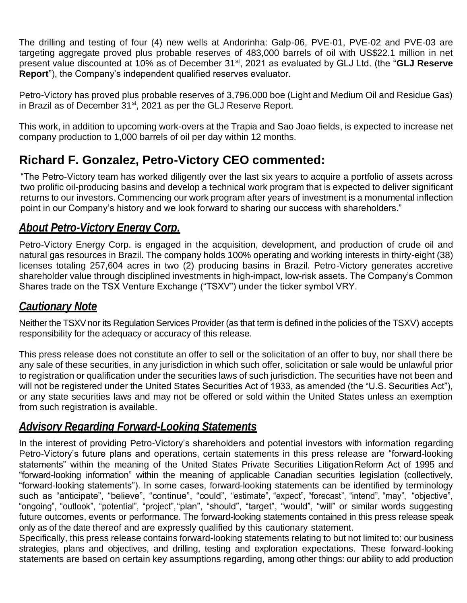The drilling and testing of four (4) new wells at Andorinha: Galp-06, PVE-01, PVE-02 and PVE-03 are targeting aggregate proved plus probable reserves of 483,000 barrels of oil with US\$22.1 million in net present value discounted at 10% as of December 31st, 2021 as evaluated by GLJ Ltd. (the "**GLJ Reserve Report**"), the Company's independent qualified reserves evaluator.

Petro-Victory has proved plus probable reserves of 3,796,000 boe (Light and Medium Oil and Residue Gas) in Brazil as of December  $31<sup>st</sup>$ , 2021 as per the GLJ Reserve Report.

This work, in addition to upcoming work-overs at the Trapia and Sao Joao fields, is expected to increase net company production to 1,000 barrels of oil per day within 12 months.

### **Richard F. Gonzalez, Petro-Victory CEO commented:**

"The Petro-Victory team has worked diligently over the last six years to acquire a portfolio of assets across two prolific oil-producing basins and develop a technical work program that is expected to deliver significant returns to our investors. Commencing our work program after years of investment is a monumental inflection point in our Company's history and we look forward to sharing our success with shareholders."

### *About Petro-Victory Energy Corp.*

Petro-Victory Energy Corp. is engaged in the acquisition, development, and production of crude oil and natural gas resources in Brazil. The company holds 100% operating and working interests in thirty-eight (38) licenses totaling 257,604 acres in two (2) producing basins in Brazil. Petro-Victory generates accretive shareholder value through disciplined investments in high-impact, low-risk assets. The Company's Common Shares trade on the TSX Venture Exchange ("TSXV") under the ticker symbol VRY.

### *Cautionary Note*

Neither the TSXV nor its Regulation Services Provider (as that term is defined in the policies of the TSXV) accepts responsibility for the adequacy or accuracy of this release.

This press release does not constitute an offer to sell or the solicitation of an offer to buy, nor shall there be any sale of these securities, in any jurisdiction in which such offer, solicitation or sale would be unlawful prior to registration or qualification under the securities laws of such jurisdiction. The securities have not been and will not be registered under the United States Securities Act of 1933, as amended (the "U.S. Securities Act"), or any state securities laws and may not be offered or sold within the United States unless an exemption from such registration is available.

### *Advisory Regarding Forward-Looking Statements*

In the interest of providing Petro-Victory's shareholders and potential investors with information regarding Petro-Victory's future plans and operations, certain statements in this press release are "forward-looking statements" within the meaning of the United States Private Securities Litigation Reform Act of 1995 and "forward-looking information" within the meaning of applicable Canadian securities legislation (collectively, "forward-looking statements"). In some cases, forward-looking statements can be identified by terminology such as "anticipate", "believe", "continue", "could", "estimate", "expect", "forecast", "intend", "may", "objective", "ongoing", "outlook", "potential", "project","plan", "should", "target", "would", "will" or similar words suggesting future outcomes, events or performance. The forward-looking statements contained in this press release speak only as of the date thereof and are expressly qualified by this cautionary statement.

Specifically, this press release contains forward-looking statements relating to but not limited to: our business strategies, plans and objectives, and drilling, testing and exploration expectations. These forward-looking statements are based on certain key assumptions regarding, among other things: our ability to add production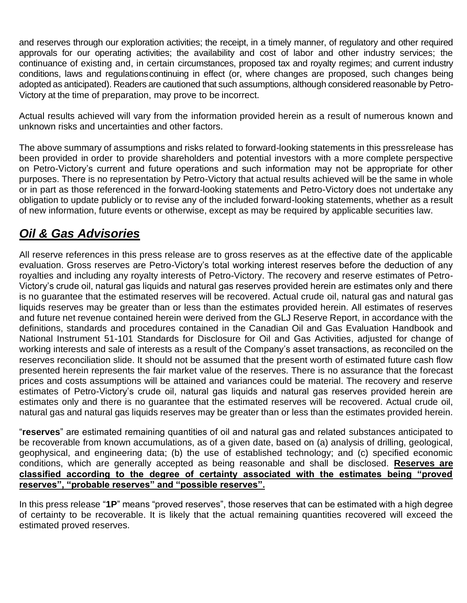and reserves through our exploration activities; the receipt, in a timely manner, of regulatory and other required approvals for our operating activities; the availability and cost of labor and other industry services; the continuance of existing and, in certain circumstances, proposed tax and royalty regimes; and current industry conditions, laws and regulationscontinuing in effect (or, where changes are proposed, such changes being adopted as anticipated). Readers are cautioned that such assumptions, although considered reasonable by Petro-Victory at the time of preparation, may prove to be incorrect.

Actual results achieved will vary from the information provided herein as a result of numerous known and unknown risks and uncertainties and other factors.

The above summary of assumptions and risks related to forward-looking statements in this pressrelease has been provided in order to provide shareholders and potential investors with a more complete perspective on Petro-Victory's current and future operations and such information may not be appropriate for other purposes. There is no representation by Petro-Victory that actual results achieved will be the same in whole or in part as those referenced in the forward-looking statements and Petro-Victory does not undertake any obligation to update publicly or to revise any of the included forward-looking statements, whether as a result of new information, future events or otherwise, except as may be required by applicable securities law.

# *Oil & Gas Advisories*

All reserve references in this press release are to gross reserves as at the effective date of the applicable evaluation. Gross reserves are Petro-Victory's total working interest reserves before the deduction of any royalties and including any royalty interests of Petro-Victory. The recovery and reserve estimates of Petro-Victory's crude oil, natural gas liquids and natural gas reserves provided herein are estimates only and there is no guarantee that the estimated reserves will be recovered. Actual crude oil, natural gas and natural gas liquids reserves may be greater than or less than the estimates provided herein. All estimates of reserves and future net revenue contained herein were derived from the GLJ Reserve Report, in accordance with the definitions, standards and procedures contained in the Canadian Oil and Gas Evaluation Handbook and National Instrument 51-101 Standards for Disclosure for Oil and Gas Activities, adjusted for change of working interests and sale of interests as a result of the Company's asset transactions, as reconciled on the reserves reconciliation slide. It should not be assumed that the present worth of estimated future cash flow presented herein represents the fair market value of the reserves. There is no assurance that the forecast prices and costs assumptions will be attained and variances could be material. The recovery and reserve estimates of Petro-Victory's crude oil, natural gas liquids and natural gas reserves provided herein are estimates only and there is no guarantee that the estimated reserves will be recovered. Actual crude oil, natural gas and natural gas liquids reserves may be greater than or less than the estimates provided herein.

"**reserves**" are estimated remaining quantities of oil and natural gas and related substances anticipated to be recoverable from known accumulations, as of a given date, based on (a) analysis of drilling, geological, geophysical, and engineering data; (b) the use of established technology; and (c) specified economic conditions, which are generally accepted as being reasonable and shall be disclosed. **Reserves are classified according to the degree of certainty associated with the estimates being "proved reserves", "probable reserves" and "possible reserves".**

In this press release "**1P**" means "proved reserves", those reserves that can be estimated with a high degree of certainty to be recoverable. It is likely that the actual remaining quantities recovered will exceed the estimated proved reserves.